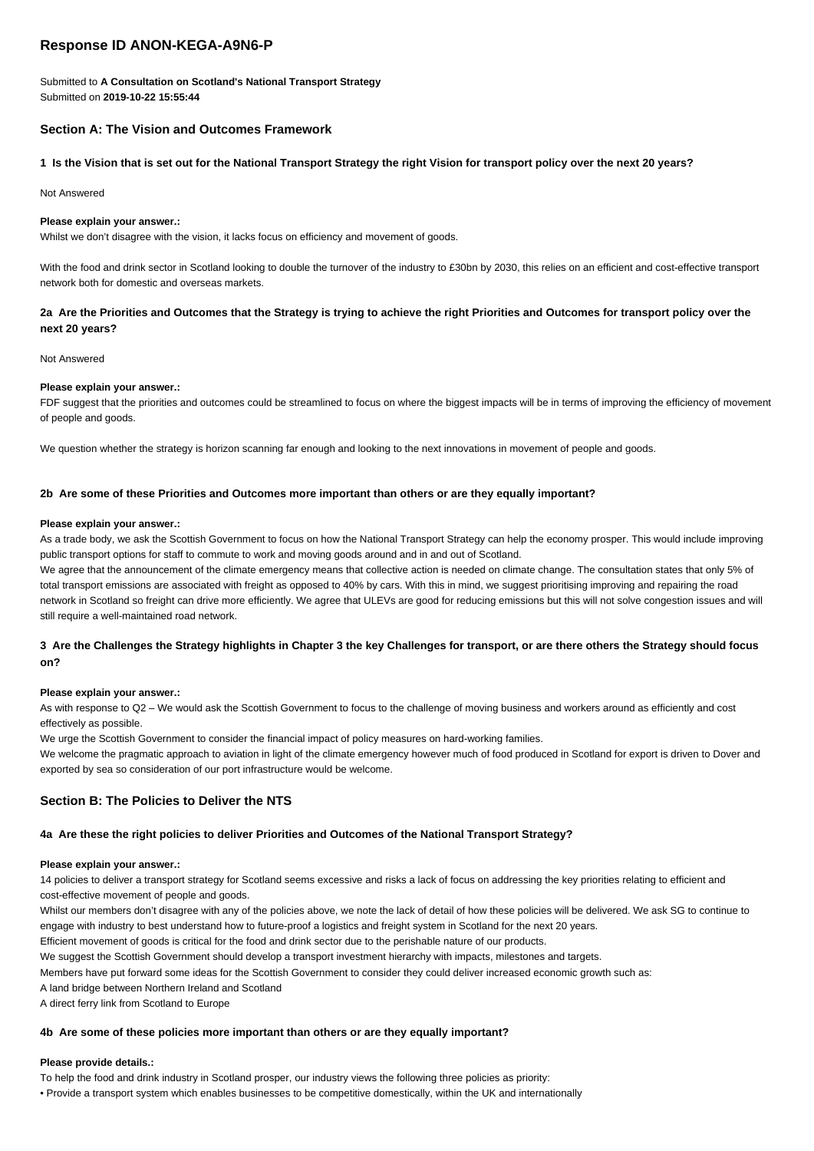# **Response ID ANON-KEGA-A9N6-P**

Submitted to **A Consultation on Scotland's National Transport Strategy** Submitted on **2019-10-22 15:55:44**

# **Section A: The Vision and Outcomes Framework**

## **1 Is the Vision that is set out for the National Transport Strategy the right Vision for transport policy over the next 20 years?**

Not Answered

### **Please explain your answer.:**

Whilst we don't disagree with the vision, it lacks focus on efficiency and movement of goods.

With the food and drink sector in Scotland looking to double the turnover of the industry to £30bn by 2030, this relies on an efficient and cost-effective transport network both for domestic and overseas markets.

## **2a Are the Priorities and Outcomes that the Strategy is trying to achieve the right Priorities and Outcomes for transport policy over the next 20 years?**

#### Not Answered

#### **Please explain your answer.:**

FDF suggest that the priorities and outcomes could be streamlined to focus on where the biggest impacts will be in terms of improving the efficiency of movement of people and goods.

We question whether the strategy is horizon scanning far enough and looking to the next innovations in movement of people and goods.

### **2b Are some of these Priorities and Outcomes more important than others or are they equally important?**

#### **Please explain your answer.:**

As a trade body, we ask the Scottish Government to focus on how the National Transport Strategy can help the economy prosper. This would include improving public transport options for staff to commute to work and moving goods around and in and out of Scotland.

We agree that the announcement of the climate emergency means that collective action is needed on climate change. The consultation states that only 5% of total transport emissions are associated with freight as opposed to 40% by cars. With this in mind, we suggest prioritising improving and repairing the road network in Scotland so freight can drive more efficiently. We agree that ULEVs are good for reducing emissions but this will not solve congestion issues and will still require a well-maintained road network.

# **3 Are the Challenges the Strategy highlights in Chapter 3 the key Challenges for transport, or are there others the Strategy should focus on?**

#### **Please explain your answer.:**

As with response to Q2 – We would ask the Scottish Government to focus to the challenge of moving business and workers around as efficiently and cost effectively as possible.

We urge the Scottish Government to consider the financial impact of policy measures on hard-working families.

We welcome the pragmatic approach to aviation in light of the climate emergency however much of food produced in Scotland for export is driven to Dover and exported by sea so consideration of our port infrastructure would be welcome.

# **Section B: The Policies to Deliver the NTS**

#### **4a Are these the right policies to deliver Priorities and Outcomes of the National Transport Strategy?**

#### **Please explain your answer.:**

14 policies to deliver a transport strategy for Scotland seems excessive and risks a lack of focus on addressing the key priorities relating to efficient and cost-effective movement of people and goods.

Whilst our members don't disagree with any of the policies above, we note the lack of detail of how these policies will be delivered. We ask SG to continue to engage with industry to best understand how to future-proof a logistics and freight system in Scotland for the next 20 years.

Efficient movement of goods is critical for the food and drink sector due to the perishable nature of our products.

We suggest the Scottish Government should develop a transport investment hierarchy with impacts, milestones and targets.

Members have put forward some ideas for the Scottish Government to consider they could deliver increased economic growth such as:

A land bridge between Northern Ireland and Scotland

A direct ferry link from Scotland to Europe

#### **4b Are some of these policies more important than others or are they equally important?**

#### **Please provide details.:**

To help the food and drink industry in Scotland prosper, our industry views the following three policies as priority:

• Provide a transport system which enables businesses to be competitive domestically, within the UK and internationally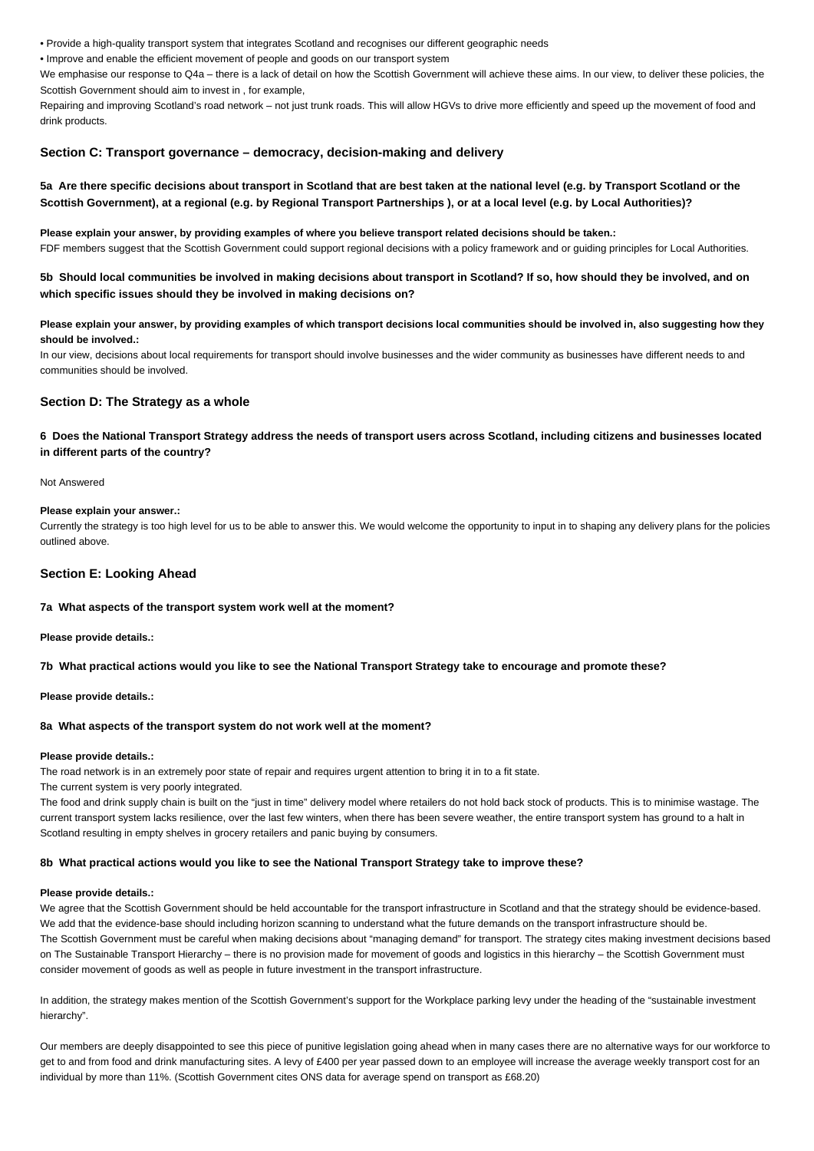• Provide a high-quality transport system that integrates Scotland and recognises our different geographic needs

• Improve and enable the efficient movement of people and goods on our transport system

We emphasise our response to Q4a – there is a lack of detail on how the Scottish Government will achieve these aims. In our view, to deliver these policies, the Scottish Government should aim to invest in , for example,

Repairing and improving Scotland's road network – not just trunk roads. This will allow HGVs to drive more efficiently and speed up the movement of food and drink products.

## **Section C: Transport governance – democracy, decision-making and delivery**

# **5a Are there specific decisions about transport in Scotland that are best taken at the national level (e.g. by Transport Scotland or the Scottish Government), at a regional (e.g. by Regional Transport Partnerships ), or at a local level (e.g. by Local Authorities)?**

**Please explain your answer, by providing examples of where you believe transport related decisions should be taken.:** FDF members suggest that the Scottish Government could support regional decisions with a policy framework and or guiding principles for Local Authorities.

**5b Should local communities be involved in making decisions about transport in Scotland? If so, how should they be involved, and on which specific issues should they be involved in making decisions on?**

## **Please explain your answer, by providing examples of which transport decisions local communities should be involved in, also suggesting how they should be involved.:**

In our view, decisions about local requirements for transport should involve businesses and the wider community as businesses have different needs to and communities should be involved.

## **Section D: The Strategy as a whole**

# **6 Does the National Transport Strategy address the needs of transport users across Scotland, including citizens and businesses located in different parts of the country?**

Not Answered

## **Please explain your answer.:**

Currently the strategy is too high level for us to be able to answer this. We would welcome the opportunity to input in to shaping any delivery plans for the policies outlined above.

# **Section E: Looking Ahead**

## **7a What aspects of the transport system work well at the moment?**

**Please provide details.:**

**7b What practical actions would you like to see the National Transport Strategy take to encourage and promote these?**

**Please provide details.:**

## **8a What aspects of the transport system do not work well at the moment?**

### **Please provide details.:**

The road network is in an extremely poor state of repair and requires urgent attention to bring it in to a fit state.

The current system is very poorly integrated.

The food and drink supply chain is built on the "just in time" delivery model where retailers do not hold back stock of products. This is to minimise wastage. The current transport system lacks resilience, over the last few winters, when there has been severe weather, the entire transport system has ground to a halt in Scotland resulting in empty shelves in grocery retailers and panic buying by consumers.

#### **8b What practical actions would you like to see the National Transport Strategy take to improve these?**

#### **Please provide details.:**

We agree that the Scottish Government should be held accountable for the transport infrastructure in Scotland and that the strategy should be evidence-based. We add that the evidence-base should including horizon scanning to understand what the future demands on the transport infrastructure should be. The Scottish Government must be careful when making decisions about "managing demand" for transport. The strategy cites making investment decisions based on The Sustainable Transport Hierarchy – there is no provision made for movement of goods and logistics in this hierarchy – the Scottish Government must consider movement of goods as well as people in future investment in the transport infrastructure.

In addition, the strategy makes mention of the Scottish Government's support for the Workplace parking levy under the heading of the "sustainable investment hierarchy".

Our members are deeply disappointed to see this piece of punitive legislation going ahead when in many cases there are no alternative ways for our workforce to get to and from food and drink manufacturing sites. A levy of £400 per year passed down to an employee will increase the average weekly transport cost for an individual by more than 11%. (Scottish Government cites ONS data for average spend on transport as £68.20)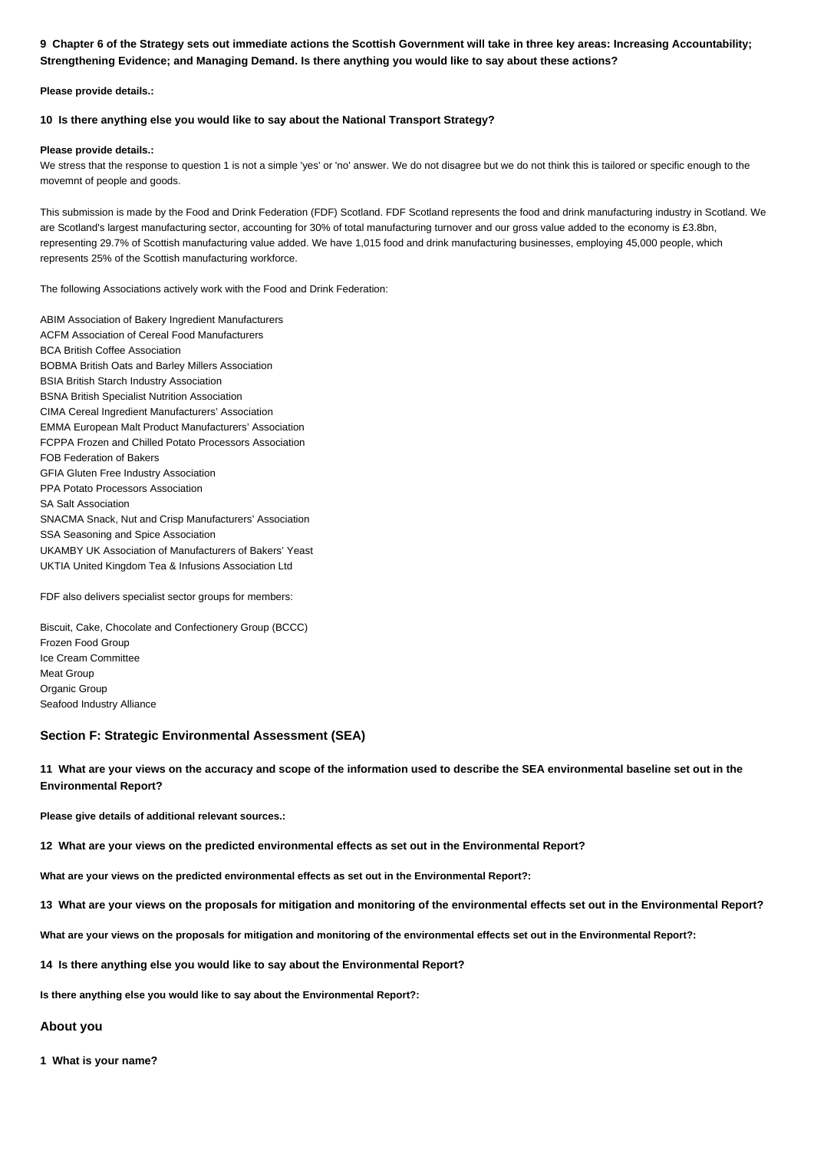# **9 Chapter 6 of the Strategy sets out immediate actions the Scottish Government will take in three key areas: Increasing Accountability; Strengthening Evidence; and Managing Demand. Is there anything you would like to say about these actions?**

**Please provide details.:**

## **10 Is there anything else you would like to say about the National Transport Strategy?**

### **Please provide details.:**

We stress that the response to question 1 is not a simple 'yes' or 'no' answer. We do not disagree but we do not think this is tailored or specific enough to the movemnt of people and goods.

This submission is made by the Food and Drink Federation (FDF) Scotland. FDF Scotland represents the food and drink manufacturing industry in Scotland. We are Scotland's largest manufacturing sector, accounting for 30% of total manufacturing turnover and our gross value added to the economy is £3.8bn, representing 29.7% of Scottish manufacturing value added. We have 1,015 food and drink manufacturing businesses, employing 45,000 people, which represents 25% of the Scottish manufacturing workforce.

The following Associations actively work with the Food and Drink Federation:

ABIM Association of Bakery Ingredient Manufacturers ACFM Association of Cereal Food Manufacturers BCA British Coffee Association BOBMA British Oats and Barley Millers Association BSIA British Starch Industry Association BSNA British Specialist Nutrition Association CIMA Cereal Ingredient Manufacturers' Association EMMA European Malt Product Manufacturers' Association FCPPA Frozen and Chilled Potato Processors Association FOB Federation of Bakers GFIA Gluten Free Industry Association PPA Potato Processors Association SA Salt Association SNACMA Snack, Nut and Crisp Manufacturers' Association SSA Seasoning and Spice Association UKAMBY UK Association of Manufacturers of Bakers' Yeast UKTIA United Kingdom Tea & Infusions Association Ltd

FDF also delivers specialist sector groups for members:

Biscuit, Cake, Chocolate and Confectionery Group (BCCC) Frozen Food Group Ice Cream Committee Meat Group Organic Group Seafood Industry Alliance

# **Section F: Strategic Environmental Assessment (SEA)**

**11 What are your views on the accuracy and scope of the information used to describe the SEA environmental baseline set out in the Environmental Report?**

**Please give details of additional relevant sources.:**

**12 What are your views on the predicted environmental effects as set out in the Environmental Report?**

**What are your views on the predicted environmental effects as set out in the Environmental Report?:**

**13 What are your views on the proposals for mitigation and monitoring of the environmental effects set out in the Environmental Report?**

**What are your views on the proposals for mitigation and monitoring of the environmental effects set out in the Environmental Report?:**

**14 Is there anything else you would like to say about the Environmental Report?**

**Is there anything else you would like to say about the Environmental Report?:**

## **About you**

**1 What is your name?**